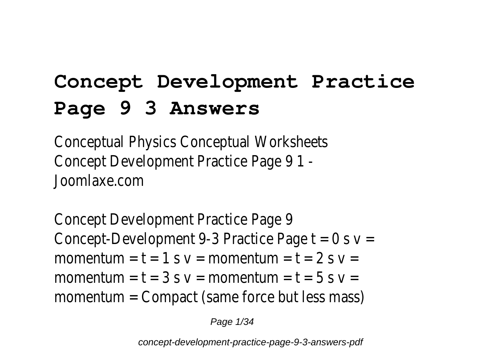# **Concept Development Practice Page 9 3 Answers**

Conceptual Physics Conceptual Worksheets Concept Development Practice Page 9 1 - Joomlaxe.com

Concept Development Practice Page 9 Concept-Development 9-3 Practice Page  $t = 0$  s  $v =$ momentum =  $t = 1$  s  $v =$  momentum =  $t = 2$  s  $v =$ momentum =  $t = 3$  s  $v =$  momentum =  $t = 5$  s  $v =$ momentum = Compact (same force but less mass)

Page 1/34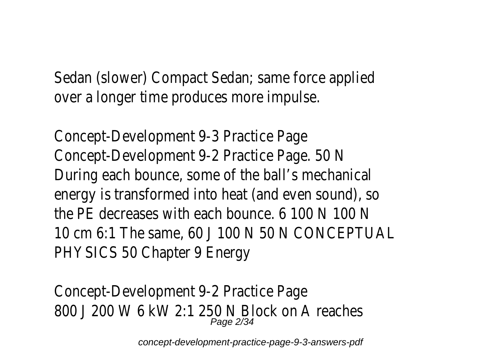Sedan (slower) Compact Sedan; same force applied over a longer time produces more impulse.

Concept-Development 9-3 Practice Page Concept-Development 9-2 Practice Page. 50 N During each bounce, some of the ball's mechanical energy is transformed into heat (and even sound), so the PE decreases with each bounce. 6 100 N 100 N 10 cm 6:1 The same, 60 J 100 N 50 N CONCEPTUAL PHYSICS 50 Chapter 9 Energy

Concept-Development 9-2 Practice Page 800 J 200 W 6 kW 2:1 250 N Block on A reaches Page 2/34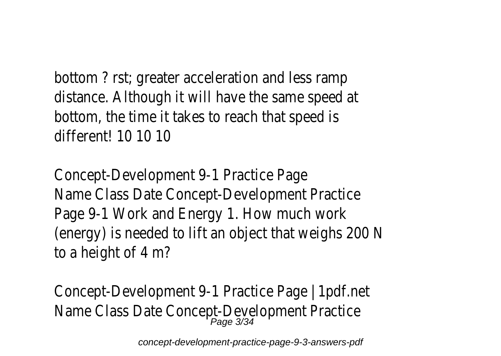bottom ? rst; greater acceleration and less ramp distance. Although it will have the same speed at bottom, the time it takes to reach that speed is different! 10 10 10

Concept-Development 9-1 Practice Page Name Class Date Concept-Development Practice Page 9-1 Work and Energy 1. How much work (energy) is needed to lift an object that weighs 200 N to a height of 4 m?

Concept-Development 9-1 Practice Page | 1pdf.net Name Class Date Concept-Development Practice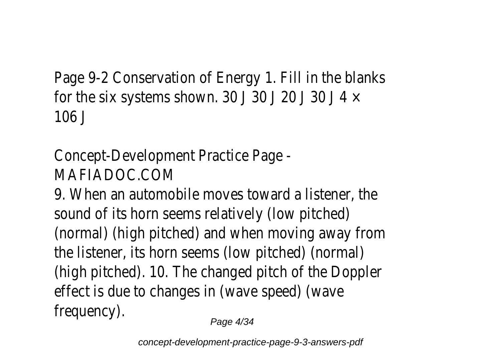Page 9-2 Conservation of Energy 1. Fill in the blanks for the six systems shown. 30 J 30 J 20 J 30 J 4  $\times$ 106 J

Concept-Development Practice Page - MAFIADOC.COM

9. When an automobile moves toward a listener, the sound of its horn seems relatively (low pitched) (normal) (high pitched) and when moving away from the listener, its horn seems (low pitched) (normal) (high pitched). 10. The changed pitch of the Doppler effect is due to changes in (wave speed) (wave frequency).

Page 4/34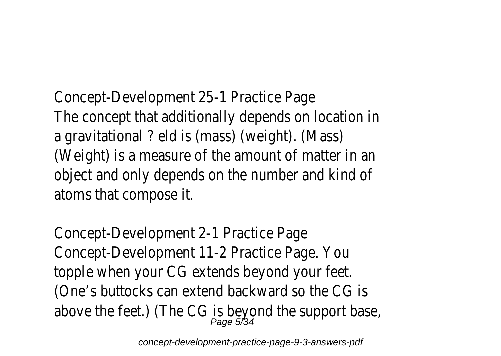Concept-Development 25-1 Practice Page The concept that additionally depends on location in a gravitational ? eld is (mass) (weight). (Mass) (Weight) is a measure of the amount of matter in an object and only depends on the number and kind of atoms that compose it.

Concept-Development 2-1 Practice Page Concept-Development 11-2 Practice Page. You topple when your CG extends beyond your feet. (One's buttocks can extend backward so the CG is above the feet.) (The CG is beyond the support base, above the feet.)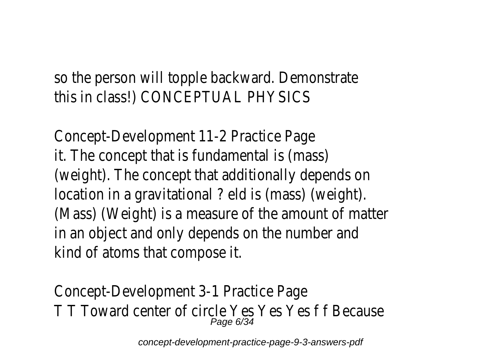so the person will topple backward. Demonstrate this in class!) CONCEPTUAL PHYSICS

Concept-Development 11-2 Practice Page it. The concept that is fundamental is (mass) (weight). The concept that additionally depends on location in a gravitational ? eld is (mass) (weight). (Mass) (Weight) is a measure of the amount of matter in an object and only depends on the number and kind of atoms that compose it.

Concept-Development 3-1 Practice Page T T Toward center of circle Yes Yes Yes f f Because Page 6/34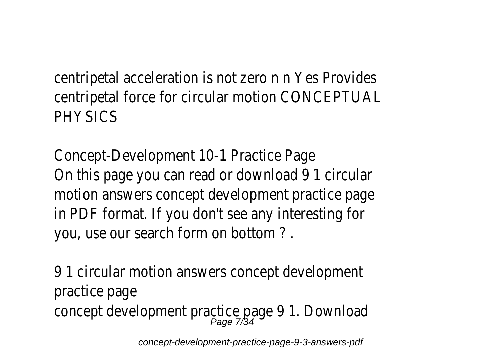centripetal acceleration is not zero n n Yes Provides centripetal force for circular motion CONCEPTUAL **PHYSICS** 

Concept-Development 10-1 Practice Page On this page you can read or download 9 1 circular motion answers concept development practice page in PDF format. If you don't see any interesting for you, use our search form on bottom ? .

9 1 circular motion answers concept development practice page concept development practice page 9 1. Download Page 7/34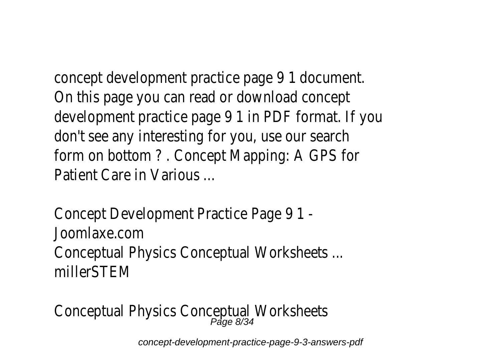concept development practice page 9 1 document. On this page you can read or download concept development practice page 9 1 in PDF format. If you don't see any interesting for you, use our search form on bottom ? . Concept Mapping: A GPS for Patient Care in Various ...

Concept Development Practice Page 9 1 - Joomlaxe.com Conceptual Physics Conceptual Worksheets ... millerSTEM

Conceptual Physics Conceptual Worksheets<br>Page 8/34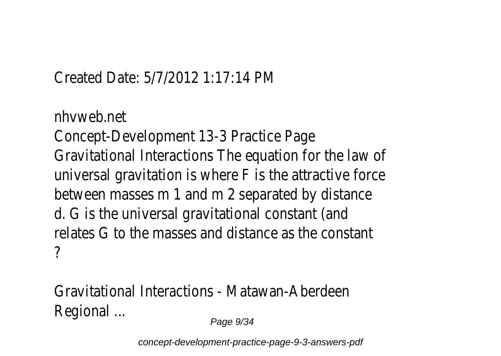### Created Date: 5/7/2012 1:17:14 PM

nhvweb.net Concept-Development 13-3 Practice Page Gravitational Interactions The equation for the law of universal gravitation is where F is the attractive force between masses m 1 and m 2 separated by distance d. G is the universal gravitational constant (and relates G to the masses and distance as the constant ?

Gravitational Interactions - Matawan-Aberdeen Regional ...

Page 9/34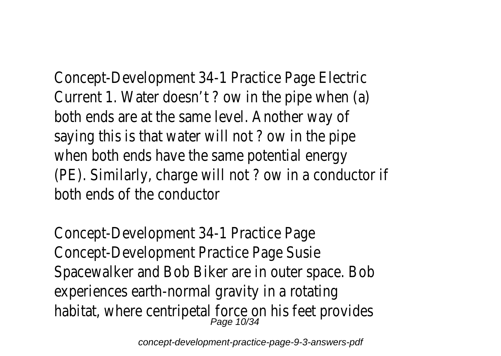Concept-Development 34-1 Practice Page Electric Current 1. Water doesn't ? ow in the pipe when (a) both ends are at the same level. Another way of saying this is that water will not ? ow in the pipe when both ends have the same potential energy (PE). Similarly, charge will not ? ow in a conductor if both ends of the conductor

Concept-Development 34-1 Practice Page Concept-Development Practice Page Susie Spacewalker and Bob Biker are in outer space. Bob experiences earth-normal gravity in a rotating habitat, where centripetal force on his feet provides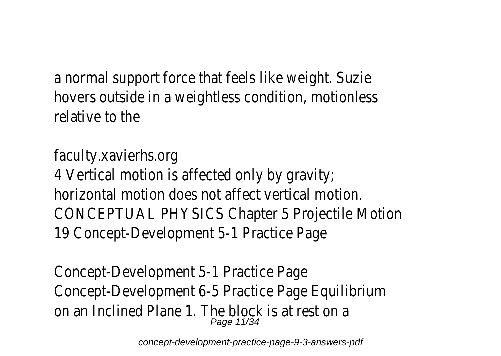a normal support force that feels like weight. Suzie hovers outside in a weightless condition, motionless relative to the

faculty.xavierhs.org 4 Vertical motion is affected only by gravity; horizontal motion does not affect vertical motion. CONCEPTUAL PHYSICS Chapter 5 Projectile Motion 19 Concept-Development 5-1 Practice Page

Concept-Development 5-1 Practice Page Concept-Development 6-5 Practice Page Equilibrium on an Inclined Plane 1. The block is at rest on a Page 11/34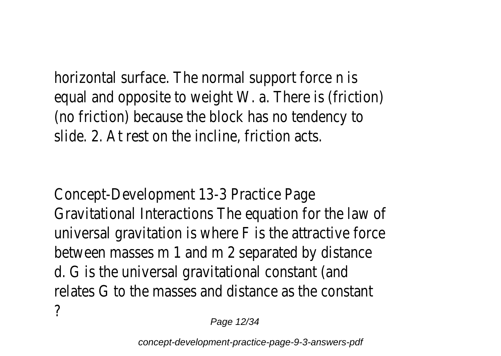horizontal surface. The normal support force n is equal and opposite to weight W. a. There is (friction) (no friction) because the block has no tendency to slide. 2. At rest on the incline, friction acts.

Concept-Development 13-3 Practice Page Gravitational Interactions The equation for the law of universal gravitation is where F is the attractive force between masses m 1 and m 2 separated by distance d. G is the universal gravitational constant (and relates G to the masses and distance as the constant ?

Page 12/34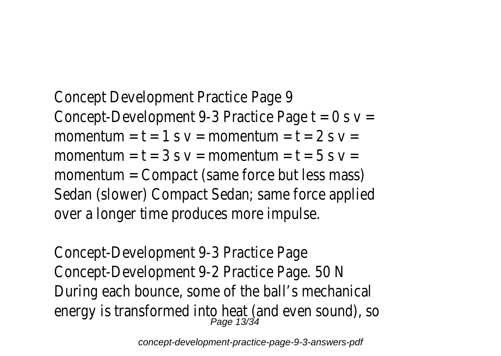Concept Development Practice Page 9 Concept-Development 9-3 Practice Page  $t = 0$  s  $v =$ momentum =  $t = 1$  s  $v =$  momentum =  $t = 2$  s  $v =$ momentum =  $t = 3$  s  $v =$  momentum =  $t = 5$  s  $v =$ momentum = Compact (same force but less mass) Sedan (slower) Compact Sedan; same force applied over a longer time produces more impulse.

Concept-Development 9-3 Practice Page Concept-Development 9-2 Practice Page. 50 N During each bounce, some of the ball's mechanical energy is transformed into heat (and even sound), so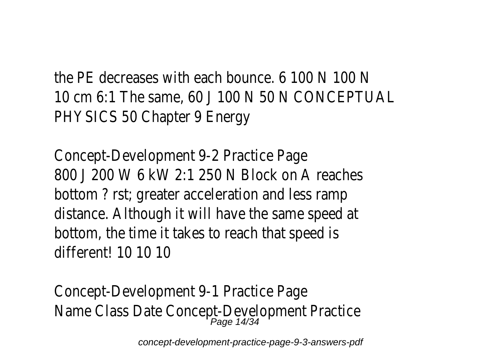the PE decreases with each bounce. 6 100 N 100 N 10 cm 6:1 The same, 60 J 100 N 50 N CONCEPTUAL PHYSICS 50 Chapter 9 Energy

Concept-Development 9-2 Practice Page 800 J 200 W 6 kW 2:1 250 N Block on A reaches bottom ? rst; greater acceleration and less ramp distance. Although it will have the same speed at bottom, the time it takes to reach that speed is different! 10 10 10

Concept-Development 9-1 Practice Page Name Class Date Concept-Development Practice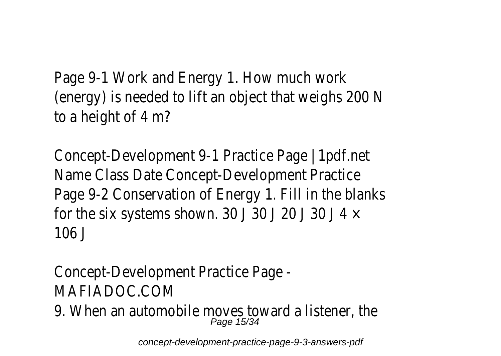Page 9-1 Work and Energy 1. How much work (energy) is needed to lift an object that weighs 200 N to a height of 4 m?

Concept-Development 9-1 Practice Page | 1pdf.net Name Class Date Concept-Development Practice Page 9-2 Conservation of Energy 1. Fill in the blanks for the six systems shown. 30 J 30 J 20 J 30 J 4  $\times$ 106 J

Concept-Development Practice Page - MAFIADOC.COM

9. When an automobile moves toward a listener, the Page 15/34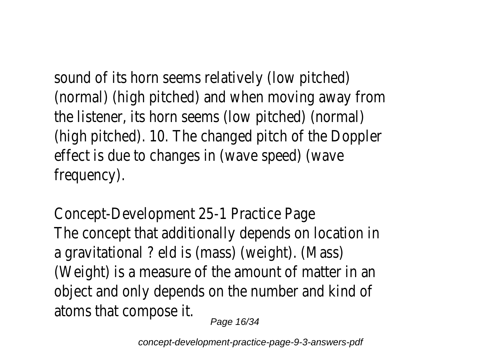sound of its horn seems relatively (low pitched) (normal) (high pitched) and when moving away from the listener, its horn seems (low pitched) (normal) (high pitched). 10. The changed pitch of the Doppler effect is due to changes in (wave speed) (wave frequency).

Concept-Development 25-1 Practice Page The concept that additionally depends on location in a gravitational ? eld is (mass) (weight). (Mass) (Weight) is a measure of the amount of matter in an object and only depends on the number and kind of atoms that compose it. Page 16/34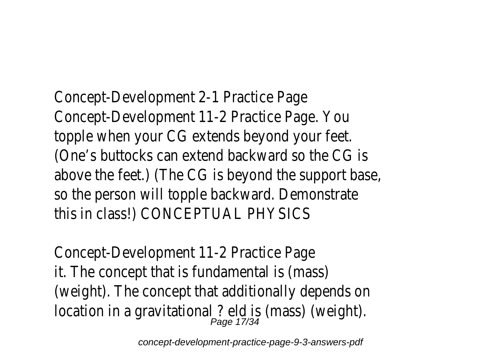Concept-Development 2-1 Practice Page Concept-Development 11-2 Practice Page. You topple when your CG extends beyond your feet. (One's buttocks can extend backward so the CG is above the feet.) (The CG is beyond the support base, so the person will topple backward. Demonstrate this in class!) CONCEPTUAL PHYSICS

Concept-Development 11-2 Practice Page it. The concept that is fundamental is (mass) (weight). The concept that additionally depends on location in a gravitational ? eld is (mass) (weight).<br>Page 17/34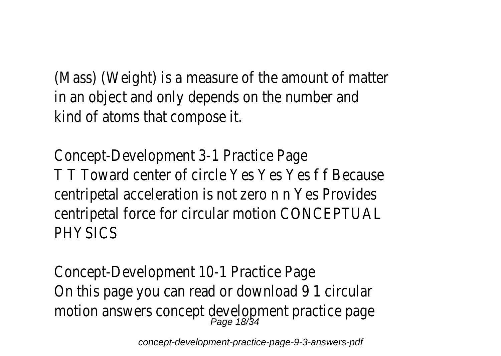(Mass) (Weight) is a measure of the amount of matter in an object and only depends on the number and kind of atoms that compose it.

Concept-Development 3-1 Practice Page T T Toward center of circle Yes Yes Yes f f Because centripetal acceleration is not zero n n Yes Provides centripetal force for circular motion CONCEPTUAL **PHYSICS** 

Concept-Development 10-1 Practice Page On this page you can read or download 9 1 circular motion answers concept development practice page Page 18/34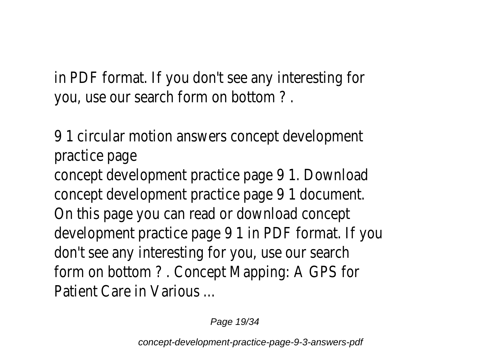in PDF format. If you don't see any interesting for you, use our search form on bottom ? .

9 1 circular motion answers concept development practice page

concept development practice page 9 1. Download concept development practice page 9 1 document. On this page you can read or download concept development practice page 9 1 in PDF format. If you don't see any interesting for you, use our search form on bottom ? . Concept Mapping: A GPS for Patient Care in Various ...

Page 19/34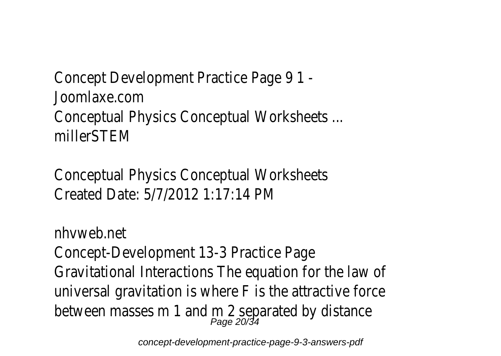Concept Development Practice Page 9 1 - Joomlaxe.com Conceptual Physics Conceptual Worksheets ... millerSTEM

Conceptual Physics Conceptual Worksheets Created Date: 5/7/2012 1:17:14 PM

nhvweb.net Concept-Development 13-3 Practice Page Gravitational Interactions The equation for the law of universal gravitation is where F is the attractive force between masses m 1 and m 2 separated by distance<br>Page 20/34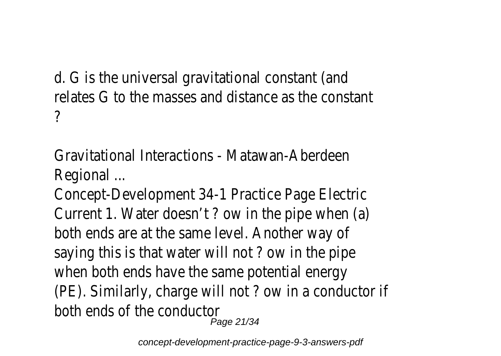d. G is the universal gravitational constant (and relates G to the masses and distance as the constant ?

Gravitational Interactions - Matawan-Aberdeen Regional ...

Concept-Development 34-1 Practice Page Electric Current 1. Water doesn't ? ow in the pipe when (a) both ends are at the same level. Another way of saying this is that water will not ? ow in the pipe when both ends have the same potential energy (PE). Similarly, charge will not ? ow in a conductor if both ends of the conductor Page 21/34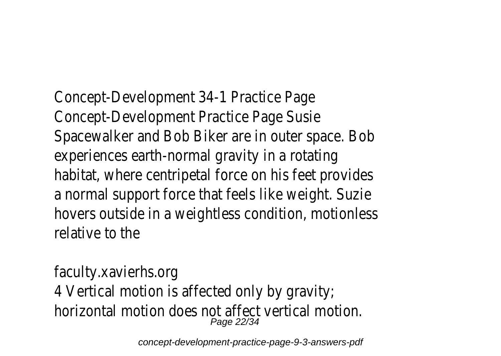Concept-Development 34-1 Practice Page Concept-Development Practice Page Susie Spacewalker and Bob Biker are in outer space. Bob experiences earth-normal gravity in a rotating habitat, where centripetal force on his feet provides a normal support force that feels like weight. Suzie hovers outside in a weightless condition, motionless relative to the

faculty.xavierhs.org 4 Vertical motion is affected only by gravity; horizontal motion does not affect vertical motion. Page 22/34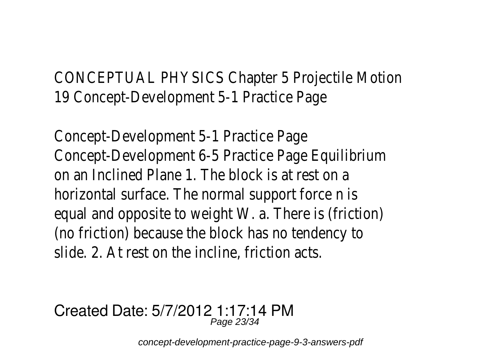CONCEPTUAL PHYSICS Chapter 5 Projectile Motion 19 Concept-Development 5-1 Practice Page

Concept-Development 5-1 Practice Page Concept-Development 6-5 Practice Page Equilibrium on an Inclined Plane 1. The block is at rest on a horizontal surface. The normal support force n is equal and opposite to weight W. a. There is (friction) (no friction) because the block has no tendency to slide. 2. At rest on the incline, friction acts.

#### Created Date: 5/7/2012 1:17:14 PM Page 23/34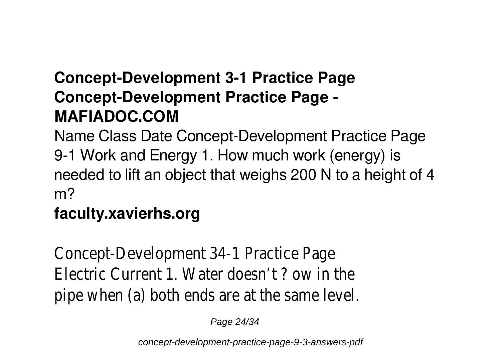# **Concept-Development 3-1 Practice Page Concept-Development Practice Page - MAFIADOC.COM**

Name Class Date Concept-Development Practice Page 9-1 Work and Energy 1. How much work (energy) is needed to lift an object that weighs 200 N to a height of 4 m?

## **faculty.xavierhs.org**

Concept-Development 34-1 Practice Page Electric Current 1. Water doesn't ? ow in the pipe when (a) both ends are at the same level.

Page 24/34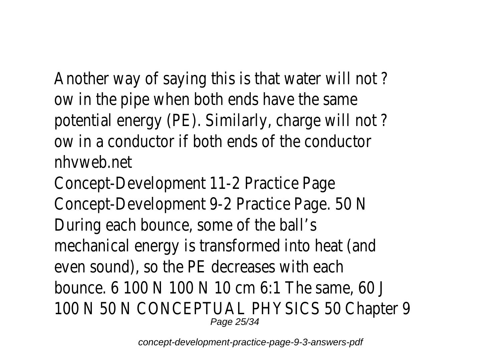Another way of saying this is that water will not ? ow in the pipe when both ends have the same potential energy (PE). Similarly, charge will not ? ow in a conductor if both ends of the conductor nhvweb.net

Concept-Development 11-2 Practice Page Concept-Development 9-2 Practice Page. 50 N During each bounce, some of the ball's mechanical energy is transformed into heat (and even sound), so the PE decreases with each bounce. 6 100 N 100 N 10 cm 6:1 The same, 60 J 100 N 50 N CONCEPTUAL PHYSICS 50 Chapter 9 Page 25/34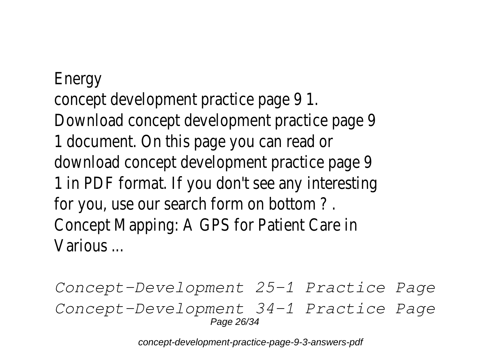**Energy** concept development practice page 9 1. Download concept development practice page 9 1 document. On this page you can read or download concept development practice page 9 1 in PDF format. If you don't see any interesting for you, use our search form on bottom ? . Concept Mapping: A GPS for Patient Care in Various ...

*Concept-Development 25-1 Practice Page Concept-Development 34-1 Practice Page* Page 26/34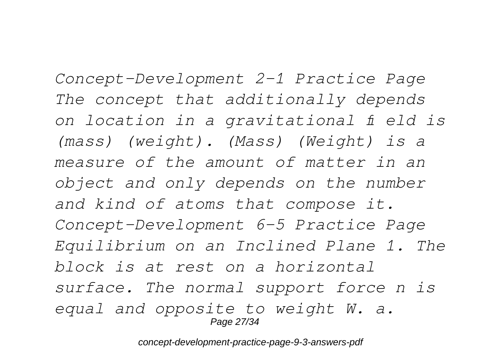*Concept-Development 2-1 Practice Page The concept that additionally depends on location in a gravitational fi eld is (mass) (weight). (Mass) (Weight) is a measure of the amount of matter in an object and only depends on the number and kind of atoms that compose it. Concept-Development 6-5 Practice Page Equilibrium on an Inclined Plane 1. The block is at rest on a horizontal surface. The normal support force n is equal and opposite to weight W. a.* Page 27/34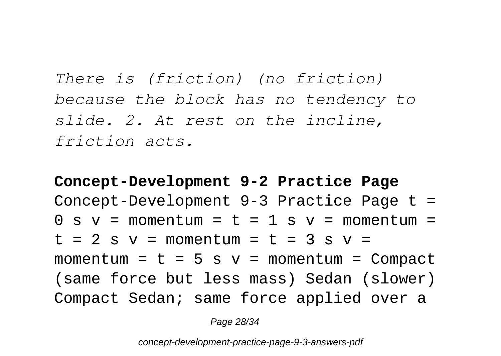*There is (friction) (no friction) because the block has no tendency to slide. 2. At rest on the incline, friction acts.*

**Concept-Development 9-2 Practice Page** Concept-Development 9-3 Practice Page t =  $0 \text{ s } v = \text{momentum} = t = 1 \text{ s } v = \text{momentum} =$  $t = 2$  s  $v =$  momentum =  $t = 3$  s  $v =$ momentum =  $t = 5 s v = momentum = Compack$ (same force but less mass) Sedan (slower) Compact Sedan; same force applied over a

Page 28/34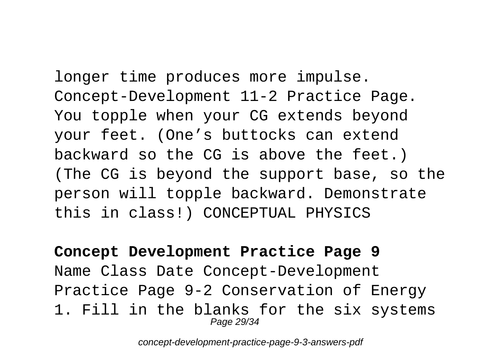longer time produces more impulse. Concept-Development 11-2 Practice Page. You topple when your CG extends beyond your feet. (One's buttocks can extend backward so the CG is above the feet.) (The CG is beyond the support base, so the person will topple backward. Demonstrate this in class!) CONCEPTUAL PHYSICS

**Concept Development Practice Page 9** Name Class Date Concept-Development Practice Page 9-2 Conservation of Energy 1. Fill in the blanks for the six systems Page 29/34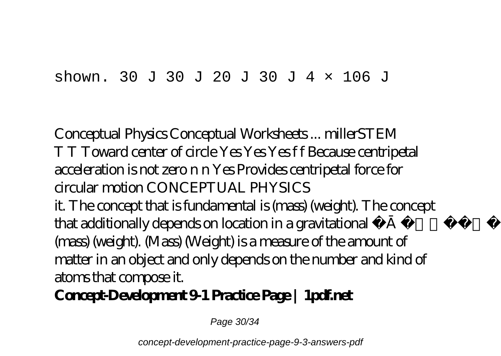#### shown. 30 J 30 J 20 J 30 J 4  $\times$  106 J

Conceptual Physics Conceptual Worksheets ... millerSTEM T T Toward center of circle Yes Yes Yes f f Because centripetal acceleration is not zero n n Yes Provides centripetal force for circular motion CONCEPTUAL PHYSICS it. The concept that is fundamental is (mass) (weight). The concept that additionally depends on location in a gravitational fi eld is (mass) (weight). (Mass) (Weight) is a measure of the amount of matter in an object and only depends on the number and kind of

atoms that compose it.

**Concept-Development 9-1 Practice Page | 1pdf.net**

Page 30/34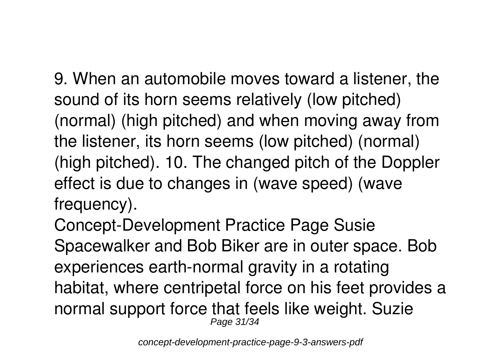9. When an automobile moves toward a listener, the sound of its horn seems relatively (low pitched) (normal) (high pitched) and when moving away from the listener, its horn seems (low pitched) (normal) (high pitched). 10. The changed pitch of the Doppler effect is due to changes in (wave speed) (wave frequency).

Concept-Development Practice Page Susie Spacewalker and Bob Biker are in outer space. Bob experiences earth-normal gravity in a rotating habitat, where centripetal force on his feet provides a normal support force that feels like weight. Suzie Page 31/34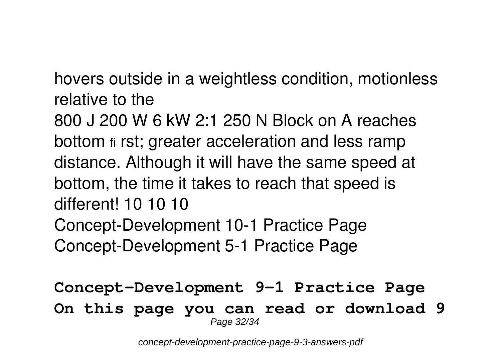hovers outside in a weightless condition, motionless relative to the

800 J 200 W 6 kW 2:1 250 N Block on A reaches bottom fi rst; greater acceleration and less ramp distance. Although it will have the same speed at bottom, the time it takes to reach that speed is different! 10 10 10 **Concept-Development 10-1 Practice Page Concept-Development 5-1 Practice Page**

**Concept-Development 9-1 Practice Page On this page you can read or download 9** Page 32/34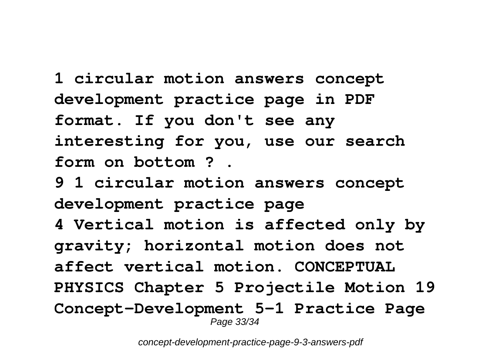**1 circular motion answers concept development practice page in PDF format. If you don't see any interesting for you, use our search form on bottom ? .**

**9 1 circular motion answers concept development practice page 4 Vertical motion is affected only by gravity; horizontal motion does not affect vertical motion. CONCEPTUAL PHYSICS Chapter 5 Projectile Motion 19 Concept-Development 5-1 Practice Page** Page 33/34